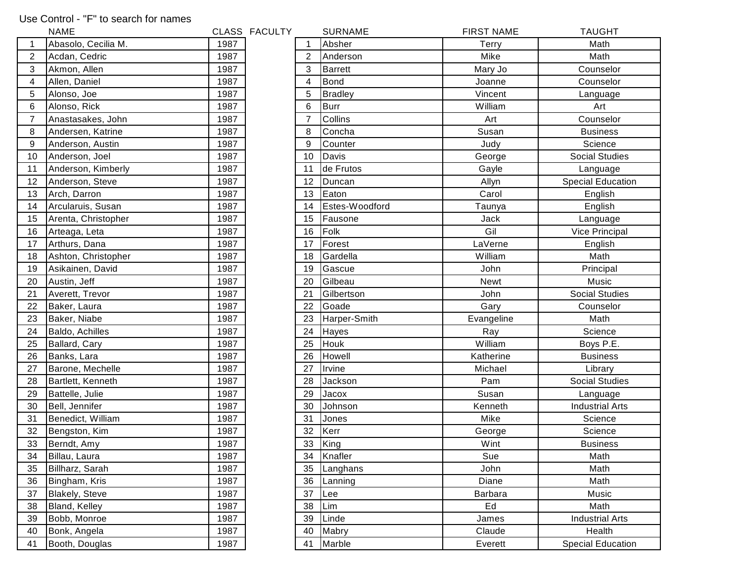## Use Control - "F" to search for names

|                | <b>NAME</b>           |      | CLASS FACULTY |                | <b>SURNAME</b> | <b>FIRST NAME</b> | <b>TAUGHT</b>            |
|----------------|-----------------------|------|---------------|----------------|----------------|-------------------|--------------------------|
| 1              | Abasolo, Cecilia M.   | 1987 |               |                | Absher         | Terry             | Math                     |
| $\overline{2}$ | Acdan, Cedric         | 1987 |               | 2              | Anderson       | Mike              | Math                     |
| 3              | Akmon, Allen          | 1987 |               | 3              | <b>Barrett</b> | Mary Jo           | Counselor                |
| 4              | Allen, Daniel         | 1987 |               | $\overline{4}$ | <b>Bond</b>    | Joanne            | Counselor                |
| 5              | Alonso, Joe           | 1987 |               | 5              | <b>Bradley</b> | Vincent           | Language                 |
| 6              | Alonso, Rick          | 1987 |               | 6              | <b>Burr</b>    | William           | Art                      |
| 7              | Anastasakes, John     | 1987 |               | 7              | Collins        | Art               | Counselor                |
| 8              | Andersen, Katrine     | 1987 |               | 8              | Concha         | Susan             | <b>Business</b>          |
| 9              | Anderson, Austin      | 1987 |               | 9              | Counter        | Judy              | Science                  |
| 10             | Anderson, Joel        | 1987 |               | 10             | Davis          | George            | <b>Social Studies</b>    |
| 11             | Anderson, Kimberly    | 1987 |               | 11             | de Frutos      | Gayle             | Language                 |
| 12             | Anderson, Steve       | 1987 |               | 12             | Duncan         | Allyn             | <b>Special Education</b> |
| 13             | Arch, Darron          | 1987 |               | 13             | Eaton          | Carol             | English                  |
| 14             | Arcularuis, Susan     | 1987 |               | 14             | Estes-Woodford | Taunya            | English                  |
| 15             | Arenta, Christopher   | 1987 |               | 15             | Fausone        | Jack              | Language                 |
| 16             | Arteaga, Leta         | 1987 |               | 16             | Folk           | Gil               | Vice Principal           |
| 17             | Arthurs, Dana         | 1987 |               | 17             | Forest         | LaVerne           | English                  |
| 18             | Ashton, Christopher   | 1987 |               | 18             | Gardella       | William           | Math                     |
| 19             | Asikainen, David      | 1987 |               | 19             | Gascue         | John              | Principal                |
| 20             | Austin, Jeff          | 1987 |               | 20             | Gilbeau        | <b>Newt</b>       | Music                    |
| 21             | Averett, Trevor       | 1987 |               | 21             | Gilbertson     | John              | <b>Social Studies</b>    |
| 22             | Baker, Laura          | 1987 |               | 22             | Goade          | Gary              | Counselor                |
| 23             | Baker, Niabe          | 1987 |               | 23             | Harper-Smith   | Evangeline        | Math                     |
| 24             | Baldo, Achilles       | 1987 |               | 24             | Hayes          | Ray               | Science                  |
| 25             | Ballard, Cary         | 1987 |               | 25             | Houk           | William           | Boys P.E.                |
| 26             | Banks, Lara           | 1987 |               | 26             | Howell         | Katherine         | <b>Business</b>          |
| 27             | Barone, Mechelle      | 1987 |               | 27             | Irvine         | Michael           | Library                  |
| 28             | Bartlett, Kenneth     | 1987 |               | 28             | Jackson        | Pam               | Social Studies           |
| 29             | Battelle, Julie       | 1987 |               | 29             | Jacox          | Susan             | Language                 |
| 30             | Bell, Jennifer        | 1987 |               | 30             | Johnson        | Kenneth           | <b>Industrial Arts</b>   |
| 31             | Benedict, William     | 1987 |               | 31             | Jones          | Mike              | Science                  |
| 32             | Bengston, Kim         | 1987 |               | 32             | Kerr           | George            | Science                  |
| 33             | Berndt, Amy           | 1987 |               | 33             | King           | Wint              | <b>Business</b>          |
| 34             | Billau, Laura         | 1987 |               | 34             | Knafler        | Sue               | Math                     |
| 35             | Billharz, Sarah       | 1987 |               | 35             | Langhans       | John              | Math                     |
| 36             | Bingham, Kris         | 1987 |               | 36             | Lanning        | Diane             | Math                     |
| 37             | <b>Blakely, Steve</b> | 1987 |               | 37             | Lee            | Barbara           | Music                    |
| 38             | Bland, Kelley         | 1987 |               | 38             | Lim            | Ed                | Math                     |
| 39             | Bobb, Monroe          | 1987 |               | 39             | Linde          | James             | <b>Industrial Arts</b>   |
| 40             | Bonk, Angela          | 1987 |               | 40             | Mabry          | Claude            | Health                   |
| 41             | Booth, Douglas        | 1987 |               | 41             | Marble         | Everett           | <b>Special Education</b> |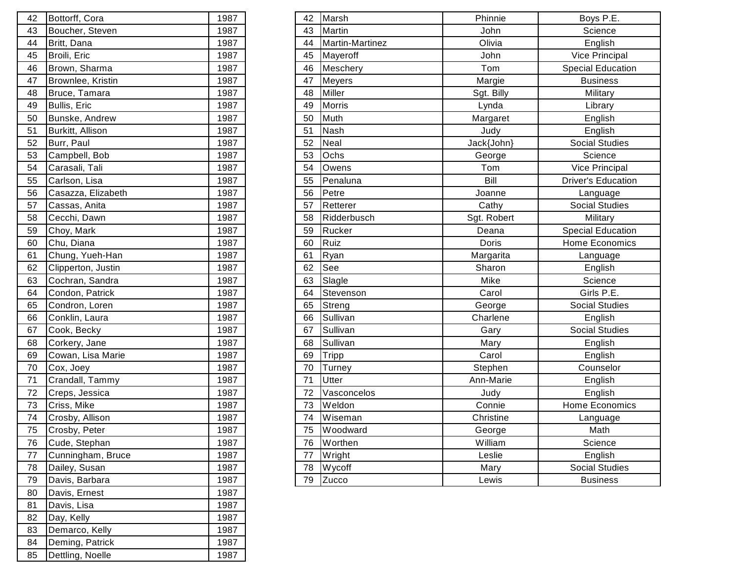| 42 | Bottorff, Cora     | 1987 |
|----|--------------------|------|
| 43 | Boucher, Steven    | 1987 |
| 44 | Britt, Dana        | 1987 |
| 45 | Broili, Eric       | 1987 |
| 46 | Brown, Sharma      | 1987 |
| 47 | Brownlee, Kristin  | 1987 |
| 48 | Bruce, Tamara      | 1987 |
| 49 | Bullis, Eric       | 1987 |
| 50 | Bunske, Andrew     | 1987 |
| 51 | Burkitt, Allison   | 1987 |
| 52 | Burr, Paul         | 1987 |
| 53 | Campbell, Bob      | 1987 |
| 54 | Carasali, Tali     | 1987 |
| 55 | Carlson, Lisa      | 1987 |
| 56 | Casazza, Elizabeth | 1987 |
| 57 | Cassas, Anita      | 1987 |
| 58 | Cecchi, Dawn       | 1987 |
| 59 | Choy, Mark         | 1987 |
| 60 | Chu, Diana         | 1987 |
| 61 | Chung, Yueh-Han    | 1987 |
| 62 | Clipperton, Justin | 1987 |
| 63 | Cochran, Sandra    | 1987 |
| 64 | Condon, Patrick    | 1987 |
| 65 | Condron, Loren     | 1987 |
| 66 | Conklin, Laura     | 1987 |
| 67 | Cook, Becky        | 1987 |
| 68 | Corkery, Jane      | 1987 |
| 69 | Cowan, Lisa Marie  | 1987 |
| 70 | Cox, Joey          | 1987 |
| 71 | Crandall, Tammy    | 1987 |
| 72 | Creps, Jessica     | 1987 |
| 73 | Criss, Mike        | 1987 |
| 74 | Crosby, Allison    | 1987 |
| 75 | Crosby, Peter      | 1987 |
| 76 | Cude, Stephan      | 1987 |
| 77 | Cunningham, Bruce  | 1987 |
| 78 | Dailey, Susan      | 1987 |
| 79 | Davis, Barbara     | 1987 |
| 80 | Davis, Ernest      | 1987 |
| 81 | Davis, Lisa        | 1987 |
| 82 | Day, Kelly         | 1987 |
| 83 | Demarco, Kelly     | 1987 |
| 84 | Deming, Patrick    | 1987 |
| 85 | Dettling, Noelle   | 1987 |

| 42 | Bottorff, Cora     | 1987 | 42 | Marsh           | Phinnie     | Boys P.E.                 |
|----|--------------------|------|----|-----------------|-------------|---------------------------|
| 43 | Boucher, Steven    | 1987 | 43 | Martin          | John        | Science                   |
| 44 | Britt, Dana        | 1987 | 44 | Martin-Martinez | Olivia      | English                   |
| 45 | Broili, Eric       | 1987 |    | 45 Mayeroff     | John        | Vice Principal            |
| 46 | Brown, Sharma      | 1987 | 46 | Meschery        | Tom         | <b>Special Education</b>  |
| 47 | Brownlee, Kristin  | 1987 | 47 | Meyers          | Margie      | <b>Business</b>           |
| 48 | Bruce, Tamara      | 1987 | 48 | Miller          | Sgt. Billy  | Military                  |
| 49 | Bullis, Eric       | 1987 | 49 | Morris          | Lynda       | Library                   |
| 50 | Bunske, Andrew     | 1987 | 50 | Muth            | Margaret    | English                   |
| 51 | Burkitt, Allison   | 1987 | 51 | <b>Nash</b>     | Judy        | English                   |
| 52 | Burr, Paul         | 1987 | 52 | Neal            | Jack{John}  | <b>Social Studies</b>     |
| 53 | Campbell, Bob      | 1987 | 53 | Ochs            | George      | Science                   |
| 54 | Carasali, Tali     | 1987 | 54 | Owens           | Tom         | <b>Vice Principal</b>     |
| 55 | Carlson, Lisa      | 1987 | 55 | Penaluna        | Bill        | <b>Driver's Education</b> |
| 56 | Casazza, Elizabeth | 1987 | 56 | Petre           | Joanne      | Language                  |
| 57 | Cassas, Anita      | 1987 | 57 | Retterer        | Cathy       | <b>Social Studies</b>     |
| 58 | Cecchi, Dawn       | 1987 | 58 | Ridderbusch     | Sgt. Robert | Military                  |
| 59 | Choy, Mark         | 1987 | 59 | Rucker          | Deana       | <b>Special Education</b>  |
| 60 | Chu, Diana         | 1987 | 60 | Ruiz            | Doris       | Home Economics            |
| 61 | Chung, Yueh-Han    | 1987 | 61 | Ryan            | Margarita   | Language                  |
| 62 | Clipperton, Justin | 1987 | 62 | See             | Sharon      | English                   |
| 63 | Cochran, Sandra    | 1987 | 63 | Slagle          | Mike        | Science                   |
| 64 | Condon, Patrick    | 1987 | 64 | Stevenson       | Carol       | Girls P.E.                |
| 65 | Condron, Loren     | 1987 | 65 | Streng          | George      | <b>Social Studies</b>     |
| 66 | Conklin, Laura     | 1987 | 66 | Sullivan        | Charlene    | English                   |
| 67 | Cook, Becky        | 1987 | 67 | Sullivan        | Gary        | <b>Social Studies</b>     |
| 68 | Corkery, Jane      | 1987 | 68 | Sullivan        | Mary        | English                   |
| 69 | Cowan, Lisa Marie  | 1987 | 69 | Tripp           | Carol       | English                   |
| 70 | Cox, Joey          | 1987 | 70 | Turney          | Stephen     | Counselor                 |
| 71 | Crandall, Tammy    | 1987 | 71 | Utter           | Ann-Marie   | English                   |
| 72 | Creps, Jessica     | 1987 | 72 | Vasconcelos     | Judy        | English                   |
| 73 | Criss, Mike        | 1987 | 73 | Weldon          | Connie      | Home Economics            |
| 74 | Crosby, Allison    | 1987 | 74 | Wiseman         | Christine   | Language                  |
| 75 | Crosby, Peter      | 1987 | 75 | Woodward        | George      | Math                      |
| 76 | Cude, Stephan      | 1987 | 76 | Worthen         | William     | Science                   |
| 77 | Cunningham, Bruce  | 1987 | 77 | Wright          | Leslie      | English                   |
| 78 | Dailey, Susan      | 1987 | 78 | Wycoff          | Mary        | <b>Social Studies</b>     |
| 79 | Davis, Barbara     | 1987 | 79 | Zucco           | Lewis       | <b>Business</b>           |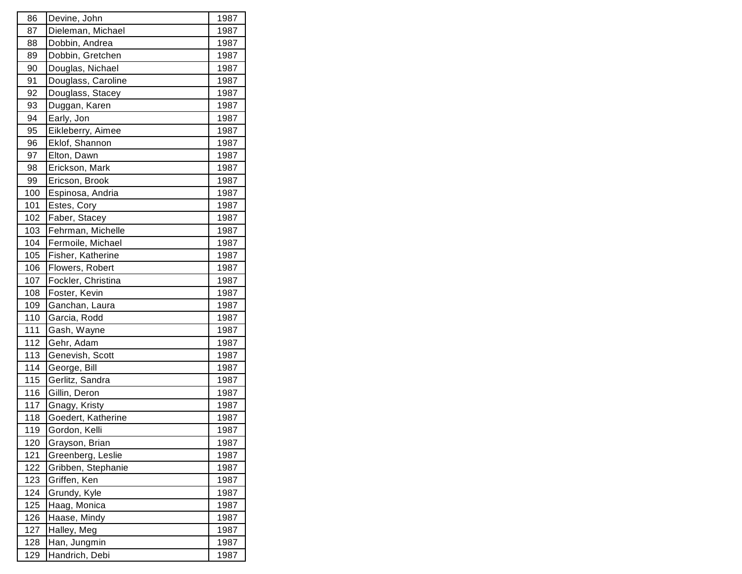| 86  | Devine, John       | 1987 |
|-----|--------------------|------|
| 87  | Dieleman, Michael  | 1987 |
| 88  | Dobbin, Andrea     | 1987 |
| 89  | Dobbin, Gretchen   | 1987 |
| 90  | Douglas, Nichael   | 1987 |
| 91  | Douglass, Caroline | 1987 |
| 92  | Douglass, Stacey   | 1987 |
| 93  | Duggan, Karen      | 1987 |
| 94  | Early, Jon         | 1987 |
| 95  | Eikleberry, Aimee  | 1987 |
| 96  | Eklof, Shannon     | 1987 |
| 97  | Elton, Dawn        | 1987 |
| 98  | Erickson, Mark     | 1987 |
| 99  | Ericson, Brook     | 1987 |
| 100 | Espinosa, Andria   | 1987 |
| 101 | Estes, Cory        | 1987 |
| 102 | Faber, Stacey      | 1987 |
| 103 | Fehrman, Michelle  | 1987 |
| 104 | Fermoile, Michael  | 1987 |
| 105 | Fisher, Katherine  | 1987 |
| 106 | Flowers, Robert    | 1987 |
| 107 | Fockler, Christina | 1987 |
| 108 | Foster, Kevin      | 1987 |
| 109 | Ganchan, Laura     | 1987 |
| 110 | Garcia, Rodd       | 1987 |
| 111 | Gash, Wayne        | 1987 |
| 112 | Gehr, Adam         | 1987 |
| 113 | Genevish, Scott    | 1987 |
| 114 | George, Bill       | 1987 |
| 115 | Gerlitz, Sandra    | 1987 |
| 116 | Gillin, Deron      | 1987 |
| 117 | Gnagy, Kristy      | 1987 |
| 118 | Goedert, Katherine | 1987 |
| 119 | Gordon, Kelli      | 1987 |
| 120 | Grayson, Brian     | 1987 |
| 121 | Greenberg, Leslie  | 1987 |
| 122 | Gribben, Stephanie | 1987 |
| 123 | Griffen, Ken       | 1987 |
| 124 | Grundy, Kyle       | 1987 |
| 125 | Haag, Monica       | 1987 |
| 126 | Haase, Mindy       | 1987 |
| 127 | Halley, Meg        | 1987 |
| 128 | Han, Jungmin       | 1987 |
| 129 | Handrich, Debi     | 1987 |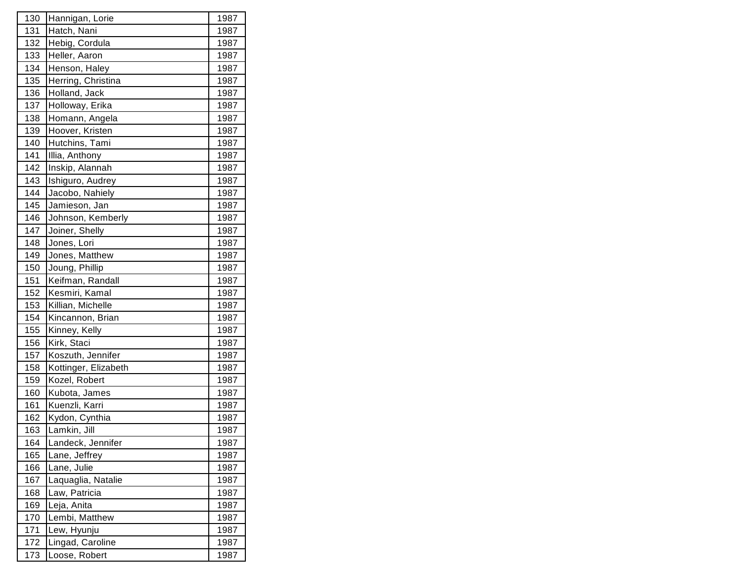| 130 | Hannigan, Lorie      | 1987 |
|-----|----------------------|------|
| 131 | Hatch, Nani          | 1987 |
| 132 | Hebig, Cordula       | 1987 |
| 133 | Heller, Aaron        | 1987 |
| 134 | Henson, Haley        | 1987 |
| 135 | Herring, Christina   | 1987 |
| 136 | Holland, Jack        | 1987 |
| 137 | Holloway, Erika      | 1987 |
| 138 | Homann, Angela       | 1987 |
| 139 | Hoover, Kristen      | 1987 |
| 140 | Hutchins, Tami       | 1987 |
| 141 | Illia, Anthony       | 1987 |
| 142 | Inskip, Alannah      | 1987 |
| 143 | Ishiguro, Audrey     | 1987 |
| 144 | Jacobo, Nahiely      | 1987 |
| 145 | Jamieson, Jan        | 1987 |
| 146 | Johnson, Kemberly    | 1987 |
| 147 | Joiner, Shelly       | 1987 |
| 148 | Jones, Lori          | 1987 |
| 149 | Jones, Matthew       | 1987 |
| 150 | Joung, Phillip       | 1987 |
| 151 | Keifman, Randall     | 1987 |
| 152 | Kesmiri, Kamal       | 1987 |
| 153 | Killian, Michelle    | 1987 |
| 154 | Kincannon, Brian     | 1987 |
| 155 | Kinney, Kelly        | 1987 |
| 156 | Kirk, Staci          | 1987 |
| 157 | Koszuth, Jennifer    | 1987 |
| 158 | Kottinger, Elizabeth | 1987 |
| 159 | Kozel, Robert        | 1987 |
| 160 | Kubota, James        | 1987 |
| 161 | Kuenzli, Karri       | 1987 |
| 162 | Kydon, Cynthia       | 1987 |
| 163 | Lamkin, Jill         | 1987 |
| 164 | Landeck, Jennifer    | 1987 |
| 165 | Lane, Jeffrey        | 1987 |
| 166 | Lane, Julie          | 1987 |
| 167 | Laquaglia, Natalie   | 1987 |
| 168 | Law, Patricia        | 1987 |
| 169 | Leja, Anita          | 1987 |
| 170 | Lembi, Matthew       | 1987 |
| 171 | Lew, Hyunju          | 1987 |
| 172 | Lingad, Caroline     | 1987 |
| 173 | Loose, Robert        | 1987 |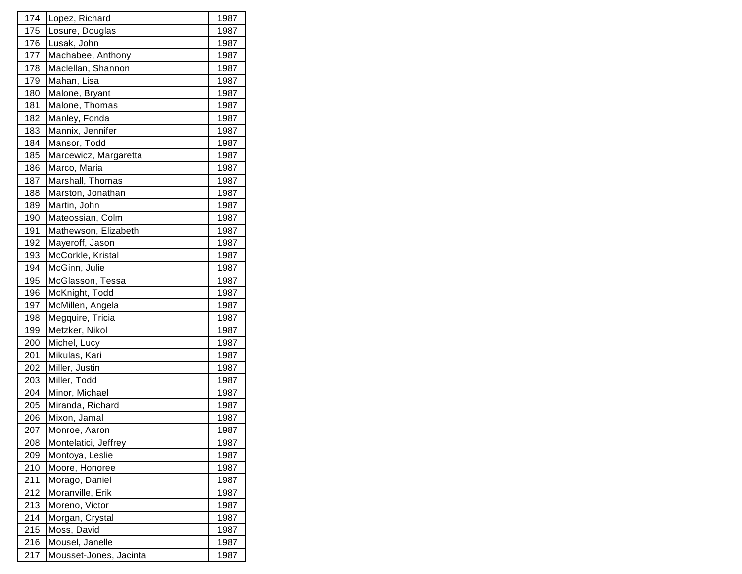| 174 | Lopez, Richard         | 1987 |
|-----|------------------------|------|
| 175 | Losure, Douglas        | 1987 |
| 176 | Lusak, John            | 1987 |
| 177 | Machabee, Anthony      | 1987 |
| 178 | Maclellan, Shannon     | 1987 |
| 179 | Mahan, Lisa            | 1987 |
| 180 | Malone, Bryant         | 1987 |
| 181 | Malone, Thomas         | 1987 |
| 182 | Manley, Fonda          | 1987 |
| 183 | Mannix, Jennifer       | 1987 |
| 184 | Mansor, Todd           | 1987 |
| 185 | Marcewicz, Margaretta  | 1987 |
| 186 | Marco, Maria           | 1987 |
| 187 | Marshall, Thomas       | 1987 |
| 188 | Marston, Jonathan      | 1987 |
| 189 | Martin, John           | 1987 |
| 190 | Mateossian, Colm       | 1987 |
| 191 | Mathewson, Elizabeth   | 1987 |
| 192 | Mayeroff, Jason        | 1987 |
| 193 | McCorkle, Kristal      | 1987 |
| 194 | McGinn, Julie          | 1987 |
| 195 | McGlasson, Tessa       | 1987 |
| 196 | McKnight, Todd         | 1987 |
| 197 | McMillen, Angela       | 1987 |
| 198 | Megquire, Tricia       | 1987 |
| 199 | Metzker, Nikol         | 1987 |
| 200 | Michel, Lucy           | 1987 |
| 201 | Mikulas, Kari          | 1987 |
| 202 | Miller, Justin         | 1987 |
| 203 | Miller, Todd           | 1987 |
| 204 | Minor, Michael         | 1987 |
| 205 | Miranda, Richard       | 1987 |
| 206 | Mixon, Jamal           | 1987 |
| 207 | Monroe, Aaron          | 1987 |
| 208 | Montelatici, Jeffrey   | 1987 |
| 209 | Montoya, Leslie        | 1987 |
| 210 | Moore, Honoree         | 1987 |
| 211 | Morago, Daniel         | 1987 |
| 212 | Moranville, Erik       | 1987 |
| 213 | Moreno, Victor         | 1987 |
| 214 | Morgan, Crystal        | 1987 |
| 215 | Moss, David            | 1987 |
| 216 | Mousel, Janelle        | 1987 |
| 217 | Mousset-Jones, Jacinta | 1987 |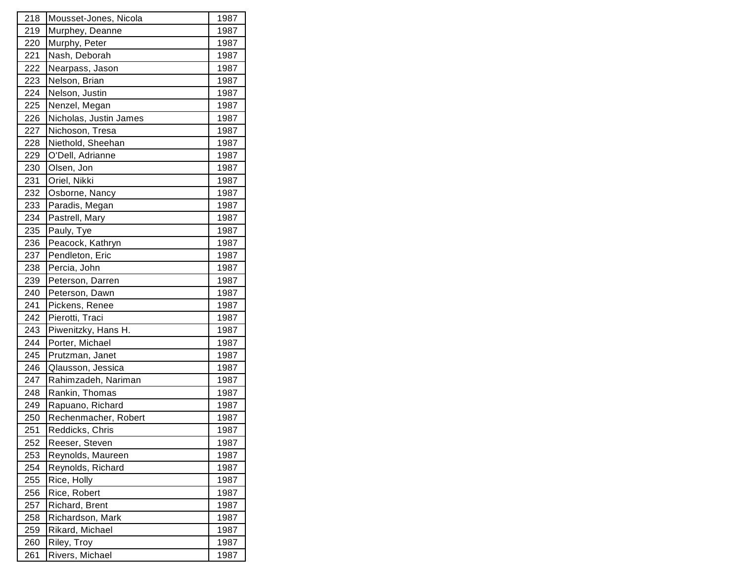| 218 | Mousset-Jones, Nicola  | 1987 |
|-----|------------------------|------|
| 219 | Murphey, Deanne        | 1987 |
| 220 | Murphy, Peter          | 1987 |
| 221 | Nash, Deborah          | 1987 |
| 222 | Nearpass, Jason        | 1987 |
| 223 | Nelson, Brian          | 1987 |
| 224 | Nelson, Justin         | 1987 |
| 225 | Nenzel, Megan          | 1987 |
| 226 | Nicholas, Justin James | 1987 |
| 227 | Nichoson, Tresa        | 1987 |
| 228 | Niethold, Sheehan      | 1987 |
| 229 | O'Dell, Adrianne       | 1987 |
| 230 | Olsen, Jon             | 1987 |
| 231 | Oriel, Nikki           | 1987 |
| 232 | Osborne, Nancy         | 1987 |
| 233 | Paradis, Megan         | 1987 |
| 234 | Pastrell, Mary         | 1987 |
| 235 | Pauly, Tye             | 1987 |
| 236 | Peacock, Kathryn       | 1987 |
| 237 | Pendleton, Eric        | 1987 |
| 238 | Percia, John           | 1987 |
| 239 | Peterson, Darren       | 1987 |
| 240 | Peterson, Dawn         | 1987 |
| 241 | Pickens, Renee         | 1987 |
| 242 | Pierotti, Traci        | 1987 |
| 243 | Piwenitzky, Hans H.    | 1987 |
| 244 | Porter, Michael        | 1987 |
| 245 | Prutzman, Janet        | 1987 |
| 246 | Qlausson, Jessica      | 1987 |
| 247 | Rahimzadeh, Nariman    | 1987 |
| 248 | Rankin, Thomas         | 1987 |
| 249 | Rapuano, Richard       | 1987 |
| 250 | Rechenmacher, Robert   | 1987 |
| 251 | Reddicks, Chris        | 1987 |
| 252 | Reeser, Steven         | 1987 |
| 253 | Reynolds, Maureen      | 1987 |
| 254 | Reynolds, Richard      | 1987 |
| 255 | Rice, Holly            | 1987 |
| 256 | Rice, Robert           | 1987 |
| 257 | Richard, Brent         | 1987 |
| 258 | Richardson, Mark       | 1987 |
| 259 | Rikard, Michael        | 1987 |
| 260 | Riley, Troy            | 1987 |
| 261 | Rivers, Michael        | 1987 |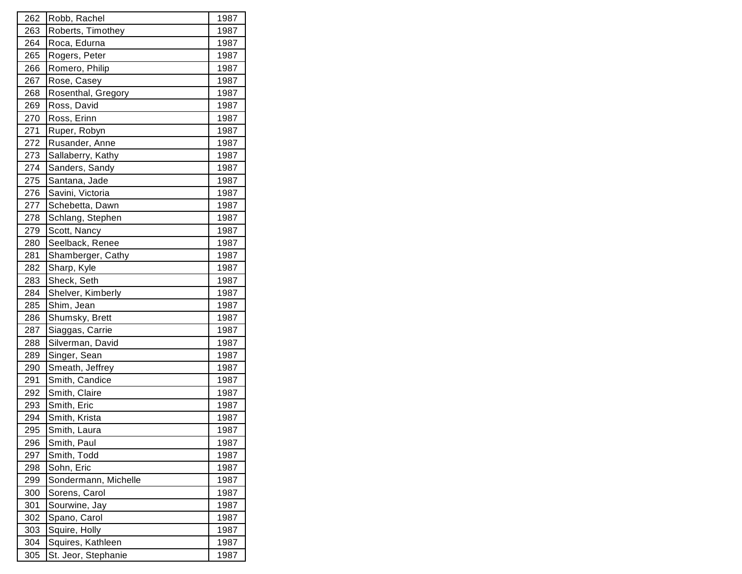| 262 | Robb, Rachel         | 1987 |
|-----|----------------------|------|
| 263 | Roberts, Timothey    | 1987 |
| 264 | Roca, Edurna         | 1987 |
| 265 | Rogers, Peter        | 1987 |
| 266 | Romero, Philip       | 1987 |
| 267 | Rose, Casey          | 1987 |
| 268 | Rosenthal, Gregory   | 1987 |
| 269 | Ross, David          | 1987 |
| 270 | Ross, Erinn          | 1987 |
| 271 | Ruper, Robyn         | 1987 |
| 272 | Rusander, Anne       | 1987 |
| 273 | Sallaberry, Kathy    | 1987 |
| 274 | Sanders, Sandy       | 1987 |
| 275 | Santana, Jade        | 1987 |
| 276 | Savini, Victoria     | 1987 |
| 277 | Schebetta, Dawn      | 1987 |
| 278 | Schlang, Stephen     | 1987 |
| 279 | Scott, Nancy         | 1987 |
| 280 | Seelback, Renee      | 1987 |
| 281 | Shamberger, Cathy    | 1987 |
| 282 | Sharp, Kyle          | 1987 |
| 283 | Sheck, Seth          | 1987 |
| 284 | Shelver, Kimberly    | 1987 |
| 285 | Shim, Jean           | 1987 |
| 286 | Shumsky, Brett       | 1987 |
| 287 | Siaggas, Carrie      | 1987 |
| 288 | Silverman, David     | 1987 |
| 289 | Singer, Sean         | 1987 |
| 290 | Smeath, Jeffrey      | 1987 |
| 291 | Smith, Candice       | 1987 |
| 292 | Smith, Claire        | 1987 |
| 293 | Smith, Eric          | 1987 |
| 294 | Smith, Krista        | 1987 |
| 295 | Smith, Laura         | 1987 |
| 296 | Smith, Paul          | 1987 |
| 297 | Smith, Todd          | 1987 |
| 298 | Sohn, Eric           | 1987 |
| 299 | Sondermann, Michelle | 1987 |
| 300 | Sorens, Carol        | 1987 |
| 301 | Sourwine, Jay        | 1987 |
| 302 | Spano, Carol         | 1987 |
| 303 | Squire, Holly        | 1987 |
| 304 | Squires, Kathleen    | 1987 |
| 305 | St. Jeor, Stephanie  | 1987 |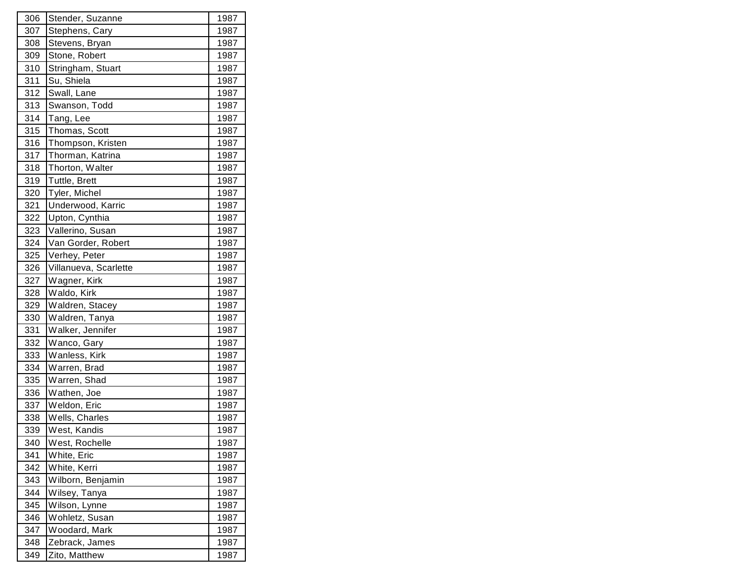| 306 | Stender, Suzanne      | 1987 |
|-----|-----------------------|------|
| 307 | Stephens, Cary        | 1987 |
| 308 | Stevens, Bryan        | 1987 |
| 309 | Stone, Robert         | 1987 |
| 310 | Stringham, Stuart     | 1987 |
| 311 | Su, Shiela            | 1987 |
| 312 | Swall, Lane           | 1987 |
| 313 | Swanson, Todd         | 1987 |
| 314 | Tang, Lee             | 1987 |
| 315 | Thomas, Scott         | 1987 |
| 316 | Thompson, Kristen     | 1987 |
| 317 | Thorman, Katrina      | 1987 |
| 318 | Thorton, Walter       | 1987 |
| 319 | Tuttle, Brett         | 1987 |
| 320 | Tyler, Michel         | 1987 |
| 321 | Underwood, Karric     | 1987 |
| 322 | Upton, Cynthia        | 1987 |
| 323 | Vallerino, Susan      | 1987 |
| 324 | Van Gorder, Robert    | 1987 |
| 325 | Verhey, Peter         | 1987 |
| 326 | Villanueva, Scarlette | 1987 |
| 327 | Wagner, Kirk          | 1987 |
| 328 | Waldo, Kirk           | 1987 |
| 329 | Waldren, Stacey       | 1987 |
| 330 | Waldren, Tanya        | 1987 |
| 331 | Walker, Jennifer      | 1987 |
| 332 | Wanco, Gary           | 1987 |
| 333 | Wanless, Kirk         | 1987 |
| 334 | Warren, Brad          | 1987 |
| 335 | Warren, Shad          | 1987 |
| 336 | Wathen, Joe           | 1987 |
| 337 | Weldon, Eric          | 1987 |
| 338 | Wells, Charles        | 1987 |
| 339 | West, Kandis          | 1987 |
| 340 | West, Rochelle        | 1987 |
| 341 | White, Eric           | 1987 |
| 342 | White, Kerri          | 1987 |
| 343 | Wilborn, Benjamin     | 1987 |
| 344 | Wilsey, Tanya         | 1987 |
| 345 | Wilson, Lynne         | 1987 |
| 346 | Wohletz, Susan        | 1987 |
| 347 | Woodard, Mark         | 1987 |
| 348 | Zebrack, James        | 1987 |
| 349 | Zito, Matthew         | 1987 |